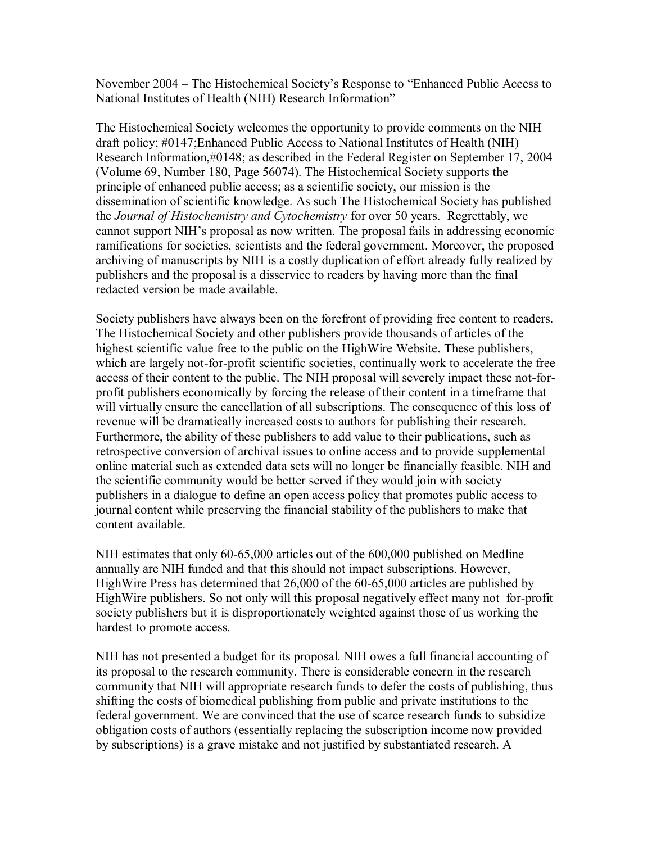November 2004 – The Histochemical Society's Response to "Enhanced Public Access to National Institutes of Health (NIH) Research Informationî

The Histochemical Society welcomes the opportunity to provide comments on the NIH draft policy; #0147;Enhanced Public Access to National Institutes of Health (NIH) Research Information,#0148; as described in the Federal Register on September 17, 2004 (Volume 69, Number 180, Page 56074). The Histochemical Society supports the principle of enhanced public access; as a scientific society, our mission is the dissemination of scientific knowledge. As such The Histochemical Society has published the *Journal of Histochemistry and Cytochemistry* for over 50 years. Regrettably, we cannot support NIH's proposal as now written. The proposal fails in addressing economic ramifications for societies, scientists and the federal government. Moreover, the proposed archiving of manuscripts by NIH is a costly duplication of effort already fully realized by publishers and the proposal is a disservice to readers by having more than the final redacted version be made available.

Society publishers have always been on the forefront of providing free content to readers. The Histochemical Society and other publishers provide thousands of articles of the highest scientific value free to the public on the HighWire Website. These publishers, which are largely not-for-profit scientific societies, continually work to accelerate the free access of their content to the public. The NIH proposal will severely impact these not-forprofit publishers economically by forcing the release of their content in a timeframe that will virtually ensure the cancellation of all subscriptions. The consequence of this loss of revenue will be dramatically increased costs to authors for publishing their research. Furthermore, the ability of these publishers to add value to their publications, such as retrospective conversion of archival issues to online access and to provide supplemental online material such as extended data sets will no longer be financially feasible. NIH and the scientific community would be better served if they would join with society publishers in a dialogue to define an open access policy that promotes public access to journal content while preserving the financial stability of the publishers to make that content available.

NIH estimates that only 60-65,000 articles out of the 600,000 published on Medline annually are NIH funded and that this should not impact subscriptions. However, HighWire Press has determined that 26,000 of the 60-65,000 articles are published by HighWire publishers. So not only will this proposal negatively effect many not-for-profit society publishers but it is disproportionately weighted against those of us working the hardest to promote access.

NIH has not presented a budget for its proposal. NIH owes a full financial accounting of its proposal to the research community. There is considerable concern in the research community that NIH will appropriate research funds to defer the costs of publishing, thus shifting the costs of biomedical publishing from public and private institutions to the federal government. We are convinced that the use of scarce research funds to subsidize obligation costs of authors (essentially replacing the subscription income now provided by subscriptions) is a grave mistake and not justified by substantiated research. A